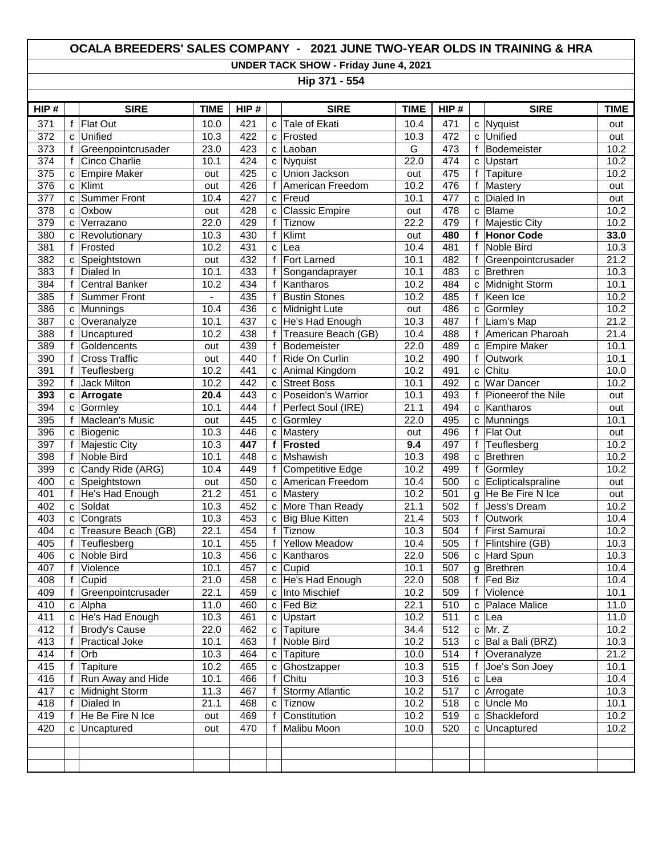## **OCALA BREEDERS' SALES COMPANY - 2021 JUNE TWO-YEAR OLDS IN TRAINING & HRA**

**UNDER TACK SHOW - Friday June 4, 2021**

**Hip 371 - 554**

| HIP#             |              | <b>SIRE</b>           | <b>TIME</b> | HIP# |              | <b>SIRE</b>             | <b>TIME</b>       | HIP# |              | <b>SIRE</b>          | <b>TIME</b> |
|------------------|--------------|-----------------------|-------------|------|--------------|-------------------------|-------------------|------|--------------|----------------------|-------------|
| 371              | f            | <b>Flat Out</b>       | 10.0        | 421  | C            | Tale of Ekati           | 10.4              | 471  | C            | Nyquist              | out         |
| 372              | $\mathbf c$  | Unified               | 10.3        | 422  | C            | Frosted                 | 10.3              | 472  | C            | Unified              | out         |
| 373              | f            | Greenpointcrusader    | 23.0        | 423  | $\mathsf{C}$ | Laoban                  | $\overline{G}$    | 473  | f            | Bodemeister          | 10.2        |
| $\overline{374}$ | f            | Cinco Charlie         | 10.1        | 424  | C            | Nyquist                 | 22.0              | 474  | C            | Upstart              | 10.2        |
| 375              | C            | <b>Empire Maker</b>   | out         | 425  | $\mathbf{C}$ | Union Jackson           | out               | 475  | f            | Tapiture             | 10.2        |
| $\overline{376}$ | C            | Klimt                 | out         | 426  | f            | American Freedom        | 10.2              | 476  | f            | Mastery              | out         |
| 377              | C            | <b>Summer Front</b>   | 10.4        | 427  | $\mathbf{C}$ | Freud                   | 10.1              | 477  | C            | Dialed In            | out         |
| 378              | C            | Oxbow                 | out         | 428  | C            | <b>Classic Empire</b>   | out               | 478  | C            | Blame                | 10.2        |
| $\overline{379}$ | C            | Verrazano             | 22.0        | 429  | f            | Tiznow                  | $\overline{22.2}$ | 479  | f            | <b>Majestic City</b> | 10.2        |
| 380              | C            | Revolutionary         | 10.3        | 430  | $\mathsf f$  | Klimt                   | out               | 480  | f            | <b>Honor Code</b>    | 33.0        |
| 381              | f            | Frosted               | 10.2        | 431  | $\mathbf c$  | Lea                     | 10.4              | 481  | f            | <b>Noble Bird</b>    | 10.3        |
| 382              | C            | Speightstown          | out         | 432  | $\mathbf f$  | Fort Larned             | 10.1              | 482  | f            | Greenpointcrusader   | 21.2        |
| 383              | f            | Dialed In             | 10.1        | 433  | f            | Songandaprayer          | 10.1              | 483  | C            | Brethren             | 10.3        |
| 384              | f            | <b>Central Banker</b> | 10.2        | 434  | f            | Kantharos               | 10.2              | 484  | C            | Midnight Storm       | 10.1        |
| 385              | f            | <b>Summer Front</b>   |             | 435  | f            | <b>Bustin Stones</b>    | 10.2              | 485  | f            | Keen Ice             | 10.2        |
| 386              | C            | Munnings              | 10.4        | 436  |              | c Midnight Lute         | out               | 486  | C            | Gormley              | 10.2        |
| 387              | C            | Overanalyze           | 10.1        | 437  | $\mathbf{C}$ | He's Had Enough         | 10.3              | 487  | f            | Liam's Map           | 21.2        |
| 388              | f            | Uncaptured            | 10.2        | 438  | f            | Treasure Beach (GB)     | 10.4              | 488  | f            | American Pharoah     | 21.4        |
| 389              | f            | Goldencents           | out         | 439  | f            | Bodemeister             | 22.0              | 489  | c            | <b>Empire Maker</b>  | 10.1        |
| 390              | f            | <b>Cross Traffic</b>  | out         | 440  | f            | Ride On Curlin          | 10.2              | 490  | f            | Outwork              | 10.1        |
| 391              | f            | Teuflesberg           | 10.2        | 441  |              | c Animal Kingdom        | 10.2              | 491  | C            | Chitu                | 10.0        |
| 392              | $\mathsf{f}$ | Jack Milton           | 10.2        | 442  | $\mathbf{C}$ | <b>Street Boss</b>      | 10.1              | 492  | C            | War Dancer           | 10.2        |
| 393              |              | c Arrogate            | 20.4        | 443  |              | c Poseidon's Warrior    | 10.1              | 493  | f            | Pioneerof the Nile   | out         |
| 394              | C            | Gormley               | 10.1        | 444  | f            | Perfect Soul (IRE)      | 21.1              | 494  | C            | Kantharos            | out         |
| 395              | $\mathbf f$  | Maclean's Music       | out         | 445  | $\mathbf{C}$ | Gormley                 | 22.0              | 495  | C            | Munnings             | 10.1        |
| 396              | $\mathbf c$  | Biogenic              | 10.3        | 446  | $\mathbf{C}$ | Mastery                 | out               | 496  | f            | Flat Out             | out         |
| 397              | f            | <b>Majestic City</b>  | 10.3        | 447  | $\mathbf f$  | <b>Frosted</b>          | 9.4               | 497  | f            | Teuflesberg          | 10.2        |
| 398              | f            | Noble Bird            | 10.1        | 448  |              | c Mshawish              | 10.3              | 498  | c            | Brethren             | 10.2        |
| 399              | с            | Candy Ride (ARG)      | 10.4        | 449  | f            | <b>Competitive Edge</b> | 10.2              | 499  | f            | Gormley              | 10.2        |
| 400              | C            | Speightstown          | out         | 450  |              | c   American Freedom    | 10.4              | 500  | c            | Eclipticalspraline   | out         |
| 401              | f            | He's Had Enough       | 21.2        | 451  |              | c Mastery               | 10.2              | 501  | g            | He Be Fire N Ice     | out         |
| 402              | $\mathbf c$  | Soldat                | 10.3        | 452  |              | c More Than Ready       | 21.1              | 502  | f            | Jess's Dream         | 10.2        |
| 403              | C            | Congrats              | 10.3        | 453  | $\mathbf{C}$ | Big Blue Kitten         | 21.4              | 503  | f            | Outwork              | 10.4        |
| 404              | C            | Treasure Beach (GB)   | 22.1        | 454  | $\mathbf f$  | Tiznow                  | 10.3              | 504  | f            | First Samurai        | 10.2        |
| 405              | f            | Teuflesberg           | 10.1        | 455  | f            | <b>Yellow Meadow</b>    | 10.4              | 505  | f            | Flintshire (GB)      | 10.3        |
| 406              | C            | Noble Bird            | 10.3        | 456  |              | c Kantharos             | 22.0              | 506  | C            | Hard Spun            | 10.3        |
| 407              | f            | Violence              | 10.1        | 457  |              | c Cupid                 | 10.1              | 507  | g            | <b>Brethren</b>      | 10.4        |
| 408              | $\mathsf{f}$ | Cupid                 | 21.0        | 458  |              | c He's Had Enough       | 22.0              | 508  | $\mathbf{f}$ | Fed Biz              | 10.4        |
| 409              | f            | Greenpointcrusader    | 22.1        | 459  |              | c Into Mischief         | 10.2              | 509  |              | f Violence           | 10.1        |
| 410              |              | c Alpha               | 11.0        | 460  |              | c Fed Biz               | 22.1              | 510  | C            | Palace Malice        | 11.0        |
| 411              | C            | He's Had Enough       | 10.3        | 461  |              | c Upstart               | 10.2              | 511  | с            | Lea                  | 11.0        |
| 412              |              | <b>Brody's Cause</b>  | 22.0        | 462  |              | c Tapiture              | 34.4              | 512  | C            | Mr. Z                | 10.2        |
| 413              | f            | Practical Joke        | 10.1        | 463  | $\mathsf{f}$ | Noble Bird              | 10.2              | 513  | c            | Bal a Bali (BRZ)     | 10.3        |
| 414              | f            | Orb                   | 10.3        | 464  |              | c Tapiture              | 10.0              | 514  | f            | Overanalyze          | 21.2        |
| 415              |              | Tapiture              | 10.2        | 465  | C            | Ghostzapper             | 10.3              | 515  | f            | Joe's Son Joey       | 10.1        |
| 416              |              | Run Away and Hide     | 10.1        | 466  | f            | Chitu                   | 10.3              | 516  | C            | Lea                  | 10.4        |
| 417              | C            | Midnight Storm        | 11.3        | 467  | $\mathsf f$  | <b>Stormy Atlantic</b>  | 10.2              | 517  | C            | Arrogate             | 10.3        |
| 418              | f            | Dialed In             | 21.1        | 468  | с            | Tiznow                  | 10.2              | 518  | с            | Uncle Mo             | 10.1        |
| 419              |              | He Be Fire N Ice      | out         | 469  | f            | Constitution            | 10.2              | 519  | c            | Shackleford          | 10.2        |
| 420              | C            | Uncaptured            | out         | 470  | f            | Malibu Moon             | 10.0              | 520  | C            | Uncaptured           | 10.2        |
|                  |              |                       |             |      |              |                         |                   |      |              |                      |             |
|                  |              |                       |             |      |              |                         |                   |      |              |                      |             |
|                  |              |                       |             |      |              |                         |                   |      |              |                      |             |